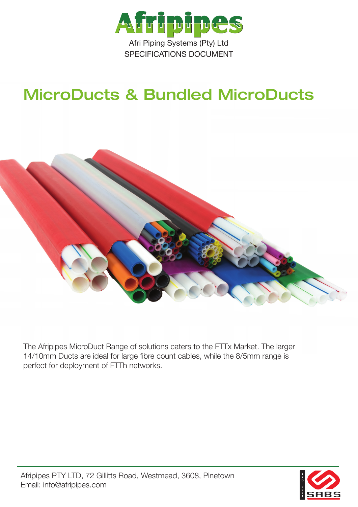

# MicroDucts & Bundled MicroDucts



The Afripipes MicroDuct Range of solutions caters to the FTTx Market. The larger 14/10mm Ducts are ideal for large fibre count cables, while the 8/5mm range is perfect for deployment of FTTh networks.